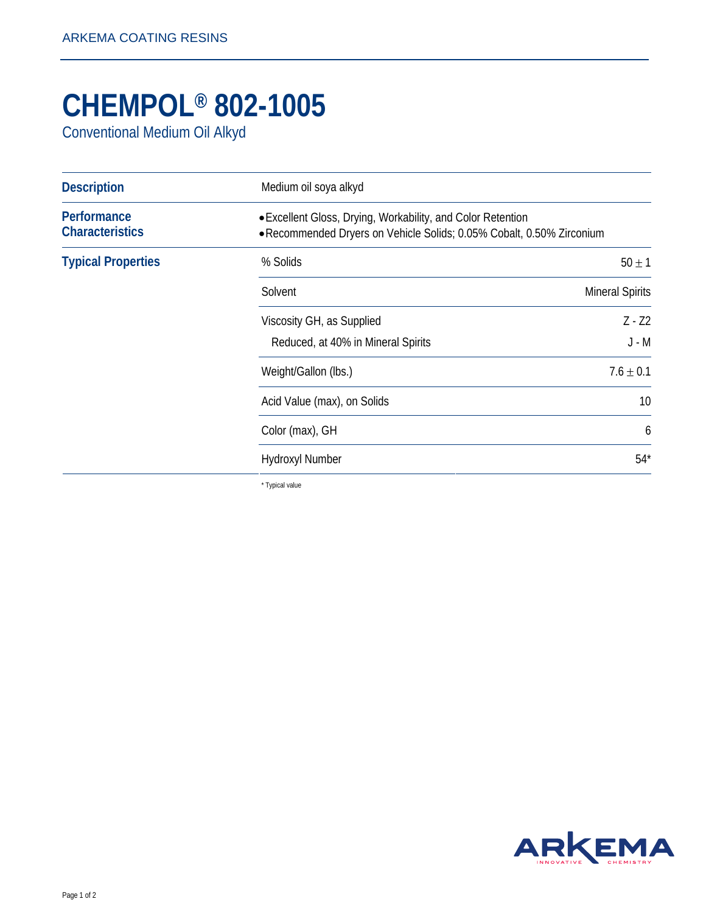## **CHEMPOL® 802-1005**

Conventional Medium Oil Alkyd

| <b>Description</b>                                                                                                                                                            | Medium oil soya alkyd              |                        |
|-------------------------------------------------------------------------------------------------------------------------------------------------------------------------------|------------------------------------|------------------------|
| Performance<br>• Excellent Gloss, Drying, Workability, and Color Retention<br><b>Characteristics</b><br>• Recommended Dryers on Vehicle Solids; 0.05% Cobalt, 0.50% Zirconium |                                    |                        |
| <b>Typical Properties</b>                                                                                                                                                     | % Solids                           | $50 \pm 1$             |
|                                                                                                                                                                               | Solvent                            | <b>Mineral Spirits</b> |
|                                                                                                                                                                               | Viscosity GH, as Supplied          | $Z - Z2$               |
|                                                                                                                                                                               | Reduced, at 40% in Mineral Spirits | $J - M$                |
|                                                                                                                                                                               | Weight/Gallon (lbs.)               | $7.6 \pm 0.1$          |
|                                                                                                                                                                               | Acid Value (max), on Solids        | 10                     |
|                                                                                                                                                                               | Color (max), GH                    | 6                      |
|                                                                                                                                                                               | <b>Hydroxyl Number</b>             | $54*$                  |

\* Typical value